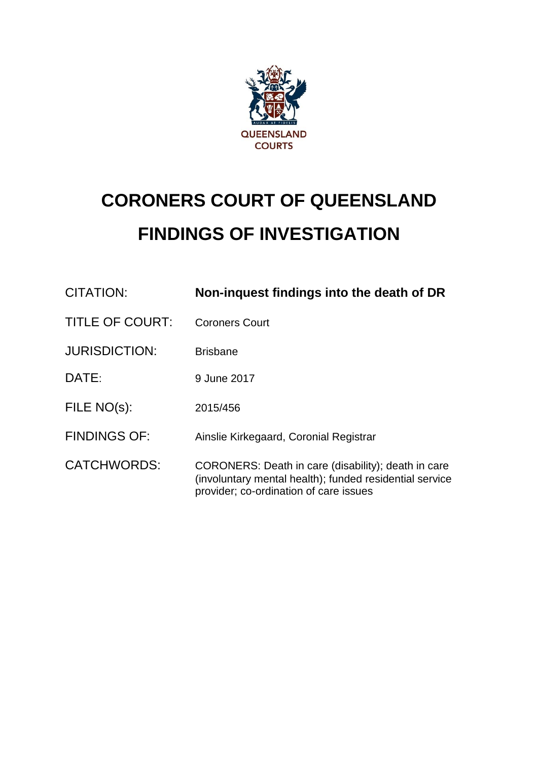

# **CORONERS COURT OF QUEENSLAND FINDINGS OF INVESTIGATION**

| CITATION:              | Non-inquest findings into the death of DR                                                                                                                |  |
|------------------------|----------------------------------------------------------------------------------------------------------------------------------------------------------|--|
| <b>TITLE OF COURT:</b> | <b>Coroners Court</b>                                                                                                                                    |  |
| <b>JURISDICTION:</b>   | <b>Brisbane</b>                                                                                                                                          |  |
| DATE:                  | 9 June 2017                                                                                                                                              |  |
| FILE NO(s):            | 2015/456                                                                                                                                                 |  |
| <b>FINDINGS OF:</b>    | Ainslie Kirkegaard, Coronial Registrar                                                                                                                   |  |
| <b>CATCHWORDS:</b>     | CORONERS: Death in care (disability); death in care<br>(involuntary mental health); funded residential service<br>provider; co-ordination of care issues |  |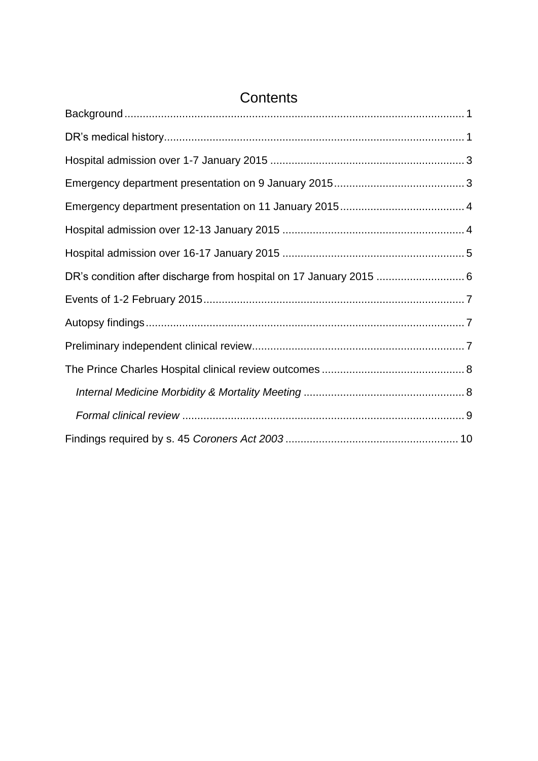| Contents |  |  |  |
|----------|--|--|--|
|          |  |  |  |
|          |  |  |  |
|          |  |  |  |
|          |  |  |  |
|          |  |  |  |
|          |  |  |  |
|          |  |  |  |
|          |  |  |  |
|          |  |  |  |
|          |  |  |  |
|          |  |  |  |
|          |  |  |  |
|          |  |  |  |
|          |  |  |  |
|          |  |  |  |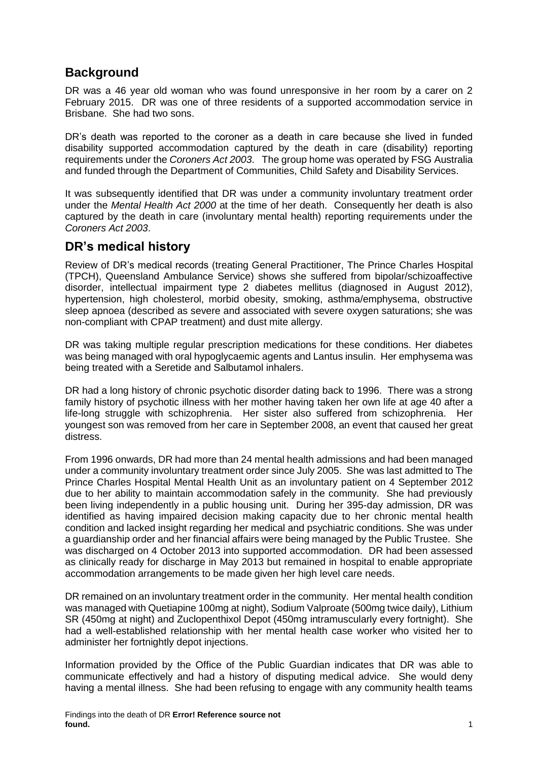# <span id="page-2-0"></span>**Background**

DR was a 46 year old woman who was found unresponsive in her room by a carer on 2 February 2015. DR was one of three residents of a supported accommodation service in Brisbane. She had two sons.

DR's death was reported to the coroner as a death in care because she lived in funded disability supported accommodation captured by the death in care (disability) reporting requirements under the *Coroners Act 2003*. The group home was operated by FSG Australia and funded through the Department of Communities, Child Safety and Disability Services.

It was subsequently identified that DR was under a community involuntary treatment order under the *Mental Health Act 2000* at the time of her death. Consequently her death is also captured by the death in care (involuntary mental health) reporting requirements under the *Coroners Act 2003*.

### <span id="page-2-1"></span>**DR's medical history**

Review of DR's medical records (treating General Practitioner, The Prince Charles Hospital (TPCH), Queensland Ambulance Service) shows she suffered from bipolar/schizoaffective disorder, intellectual impairment type 2 diabetes mellitus (diagnosed in August 2012), hypertension, high cholesterol, morbid obesity, smoking, asthma/emphysema, obstructive sleep apnoea (described as severe and associated with severe oxygen saturations; she was non-compliant with CPAP treatment) and dust mite allergy.

DR was taking multiple regular prescription medications for these conditions. Her diabetes was being managed with oral hypoglycaemic agents and Lantus insulin. Her emphysema was being treated with a Seretide and Salbutamol inhalers.

DR had a long history of chronic psychotic disorder dating back to 1996. There was a strong family history of psychotic illness with her mother having taken her own life at age 40 after a life-long struggle with schizophrenia. Her sister also suffered from schizophrenia. Her youngest son was removed from her care in September 2008, an event that caused her great distress.

From 1996 onwards, DR had more than 24 mental health admissions and had been managed under a community involuntary treatment order since July 2005. She was last admitted to The Prince Charles Hospital Mental Health Unit as an involuntary patient on 4 September 2012 due to her ability to maintain accommodation safely in the community. She had previously been living independently in a public housing unit. During her 395-day admission, DR was identified as having impaired decision making capacity due to her chronic mental health condition and lacked insight regarding her medical and psychiatric conditions. She was under a guardianship order and her financial affairs were being managed by the Public Trustee. She was discharged on 4 October 2013 into supported accommodation. DR had been assessed as clinically ready for discharge in May 2013 but remained in hospital to enable appropriate accommodation arrangements to be made given her high level care needs.

DR remained on an involuntary treatment order in the community. Her mental health condition was managed with Quetiapine 100mg at night), Sodium Valproate (500mg twice daily), Lithium SR (450mg at night) and Zuclopenthixol Depot (450mg intramuscularly every fortnight). She had a well-established relationship with her mental health case worker who visited her to administer her fortnightly depot injections.

Information provided by the Office of the Public Guardian indicates that DR was able to communicate effectively and had a history of disputing medical advice. She would deny having a mental illness. She had been refusing to engage with any community health teams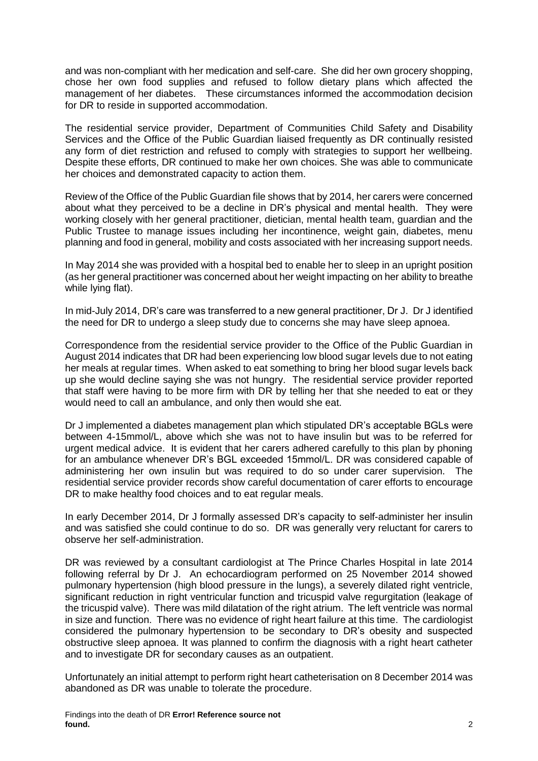and was non-compliant with her medication and self-care. She did her own grocery shopping, chose her own food supplies and refused to follow dietary plans which affected the management of her diabetes. These circumstances informed the accommodation decision for DR to reside in supported accommodation.

The residential service provider, Department of Communities Child Safety and Disability Services and the Office of the Public Guardian liaised frequently as DR continually resisted any form of diet restriction and refused to comply with strategies to support her wellbeing. Despite these efforts, DR continued to make her own choices. She was able to communicate her choices and demonstrated capacity to action them.

Review of the Office of the Public Guardian file shows that by 2014, her carers were concerned about what they perceived to be a decline in DR's physical and mental health. They were working closely with her general practitioner, dietician, mental health team, guardian and the Public Trustee to manage issues including her incontinence, weight gain, diabetes, menu planning and food in general, mobility and costs associated with her increasing support needs.

In May 2014 she was provided with a hospital bed to enable her to sleep in an upright position (as her general practitioner was concerned about her weight impacting on her ability to breathe while lying flat).

In mid-July 2014, DR's care was transferred to a new general practitioner, Dr J. Dr J identified the need for DR to undergo a sleep study due to concerns she may have sleep apnoea.

Correspondence from the residential service provider to the Office of the Public Guardian in August 2014 indicates that DR had been experiencing low blood sugar levels due to not eating her meals at regular times. When asked to eat something to bring her blood sugar levels back up she would decline saying she was not hungry. The residential service provider reported that staff were having to be more firm with DR by telling her that she needed to eat or they would need to call an ambulance, and only then would she eat.

Dr J implemented a diabetes management plan which stipulated DR's acceptable BGLs were between 4-15mmol/L, above which she was not to have insulin but was to be referred for urgent medical advice. It is evident that her carers adhered carefully to this plan by phoning for an ambulance whenever DR's BGL exceeded 15mmol/L. DR was considered capable of administering her own insulin but was required to do so under carer supervision. The residential service provider records show careful documentation of carer efforts to encourage DR to make healthy food choices and to eat regular meals.

In early December 2014, Dr J formally assessed DR's capacity to self-administer her insulin and was satisfied she could continue to do so. DR was generally very reluctant for carers to observe her self-administration.

DR was reviewed by a consultant cardiologist at The Prince Charles Hospital in late 2014 following referral by Dr J. An echocardiogram performed on 25 November 2014 showed pulmonary hypertension (high blood pressure in the lungs), a severely dilated right ventricle, significant reduction in right ventricular function and tricuspid valve regurgitation (leakage of the tricuspid valve). There was mild dilatation of the right atrium. The left ventricle was normal in size and function. There was no evidence of right heart failure at this time. The cardiologist considered the pulmonary hypertension to be secondary to DR's obesity and suspected obstructive sleep apnoea. It was planned to confirm the diagnosis with a right heart catheter and to investigate DR for secondary causes as an outpatient.

Unfortunately an initial attempt to perform right heart catheterisation on 8 December 2014 was abandoned as DR was unable to tolerate the procedure.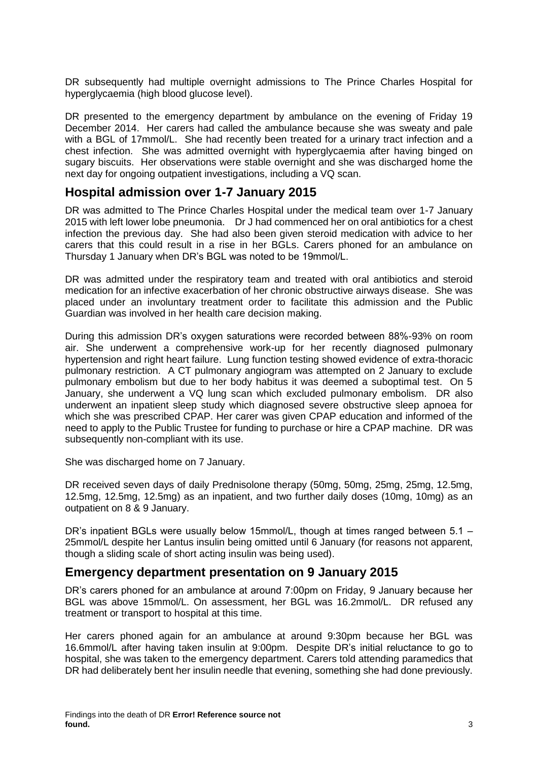DR subsequently had multiple overnight admissions to The Prince Charles Hospital for hyperglycaemia (high blood glucose level).

DR presented to the emergency department by ambulance on the evening of Friday 19 December 2014. Her carers had called the ambulance because she was sweaty and pale with a BGL of 17mmol/L. She had recently been treated for a urinary tract infection and a chest infection. She was admitted overnight with hyperglycaemia after having binged on sugary biscuits. Her observations were stable overnight and she was discharged home the next day for ongoing outpatient investigations, including a VQ scan.

#### <span id="page-4-0"></span>**Hospital admission over 1-7 January 2015**

DR was admitted to The Prince Charles Hospital under the medical team over 1-7 January 2015 with left lower lobe pneumonia. Dr J had commenced her on oral antibiotics for a chest infection the previous day. She had also been given steroid medication with advice to her carers that this could result in a rise in her BGLs. Carers phoned for an ambulance on Thursday 1 January when DR's BGL was noted to be 19mmol/L.

DR was admitted under the respiratory team and treated with oral antibiotics and steroid medication for an infective exacerbation of her chronic obstructive airways disease. She was placed under an involuntary treatment order to facilitate this admission and the Public Guardian was involved in her health care decision making.

During this admission DR's oxygen saturations were recorded between 88%-93% on room air. She underwent a comprehensive work-up for her recently diagnosed pulmonary hypertension and right heart failure. Lung function testing showed evidence of extra-thoracic pulmonary restriction. A CT pulmonary angiogram was attempted on 2 January to exclude pulmonary embolism but due to her body habitus it was deemed a suboptimal test. On 5 January, she underwent a VQ lung scan which excluded pulmonary embolism. DR also underwent an inpatient sleep study which diagnosed severe obstructive sleep apnoea for which she was prescribed CPAP. Her carer was given CPAP education and informed of the need to apply to the Public Trustee for funding to purchase or hire a CPAP machine. DR was subsequently non-compliant with its use.

She was discharged home on 7 January.

DR received seven days of daily Prednisolone therapy (50mg, 50mg, 25mg, 25mg, 12.5mg, 12.5mg, 12.5mg, 12.5mg) as an inpatient, and two further daily doses (10mg, 10mg) as an outpatient on 8 & 9 January.

DR's inpatient BGLs were usually below 15mmol/L, though at times ranged between 5.1 – 25mmol/L despite her Lantus insulin being omitted until 6 January (for reasons not apparent, though a sliding scale of short acting insulin was being used).

#### <span id="page-4-1"></span>**Emergency department presentation on 9 January 2015**

DR's carers phoned for an ambulance at around 7:00pm on Friday, 9 January because her BGL was above 15mmol/L. On assessment, her BGL was 16.2mmol/L. DR refused any treatment or transport to hospital at this time.

Her carers phoned again for an ambulance at around 9:30pm because her BGL was 16.6mmol/L after having taken insulin at 9:00pm. Despite DR's initial reluctance to go to hospital, she was taken to the emergency department. Carers told attending paramedics that DR had deliberately bent her insulin needle that evening, something she had done previously.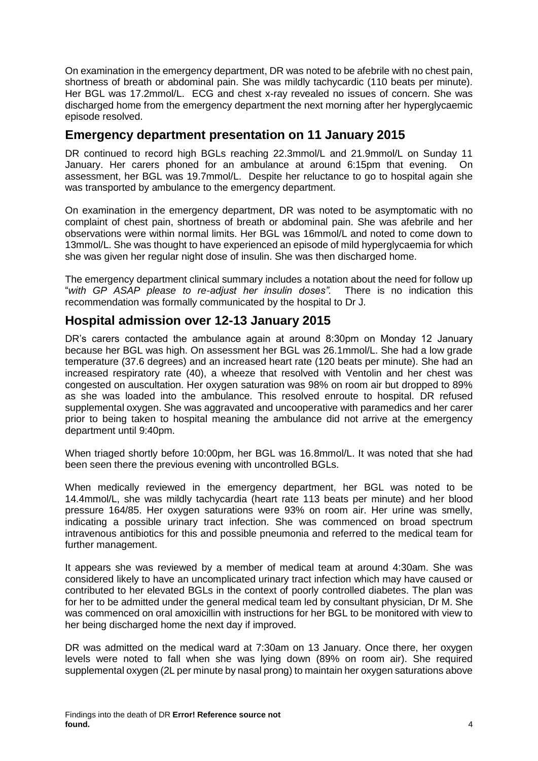On examination in the emergency department, DR was noted to be afebrile with no chest pain, shortness of breath or abdominal pain. She was mildly tachycardic (110 beats per minute). Her BGL was 17.2mmol/L. ECG and chest x-ray revealed no issues of concern. She was discharged home from the emergency department the next morning after her hyperglycaemic episode resolved.

### <span id="page-5-0"></span>**Emergency department presentation on 11 January 2015**

DR continued to record high BGLs reaching 22.3mmol/L and 21.9mmol/L on Sunday 11 January. Her carers phoned for an ambulance at around 6:15pm that evening. On assessment, her BGL was 19.7mmol/L. Despite her reluctance to go to hospital again she was transported by ambulance to the emergency department.

On examination in the emergency department, DR was noted to be asymptomatic with no complaint of chest pain, shortness of breath or abdominal pain. She was afebrile and her observations were within normal limits. Her BGL was 16mmol/L and noted to come down to 13mmol/L. She was thought to have experienced an episode of mild hyperglycaemia for which she was given her regular night dose of insulin. She was then discharged home.

The emergency department clinical summary includes a notation about the need for follow up "*with GP ASAP please to re-adjust her insulin doses".* There is no indication this recommendation was formally communicated by the hospital to Dr J.

# <span id="page-5-1"></span>**Hospital admission over 12-13 January 2015**

DR's carers contacted the ambulance again at around 8:30pm on Monday 12 January because her BGL was high. On assessment her BGL was 26.1mmol/L. She had a low grade temperature (37.6 degrees) and an increased heart rate (120 beats per minute). She had an increased respiratory rate (40), a wheeze that resolved with Ventolin and her chest was congested on auscultation. Her oxygen saturation was 98% on room air but dropped to 89% as she was loaded into the ambulance. This resolved enroute to hospital. DR refused supplemental oxygen. She was aggravated and uncooperative with paramedics and her carer prior to being taken to hospital meaning the ambulance did not arrive at the emergency department until 9:40pm.

When triaged shortly before 10:00pm, her BGL was 16.8mmol/L. It was noted that she had been seen there the previous evening with uncontrolled BGLs.

When medically reviewed in the emergency department, her BGL was noted to be 14.4mmol/L, she was mildly tachycardia (heart rate 113 beats per minute) and her blood pressure 164/85. Her oxygen saturations were 93% on room air. Her urine was smelly, indicating a possible urinary tract infection. She was commenced on broad spectrum intravenous antibiotics for this and possible pneumonia and referred to the medical team for further management.

It appears she was reviewed by a member of medical team at around 4:30am. She was considered likely to have an uncomplicated urinary tract infection which may have caused or contributed to her elevated BGLs in the context of poorly controlled diabetes. The plan was for her to be admitted under the general medical team led by consultant physician, Dr M. She was commenced on oral amoxicillin with instructions for her BGL to be monitored with view to her being discharged home the next day if improved.

DR was admitted on the medical ward at 7:30am on 13 January. Once there, her oxygen levels were noted to fall when she was lying down (89% on room air). She required supplemental oxygen (2L per minute by nasal prong) to maintain her oxygen saturations above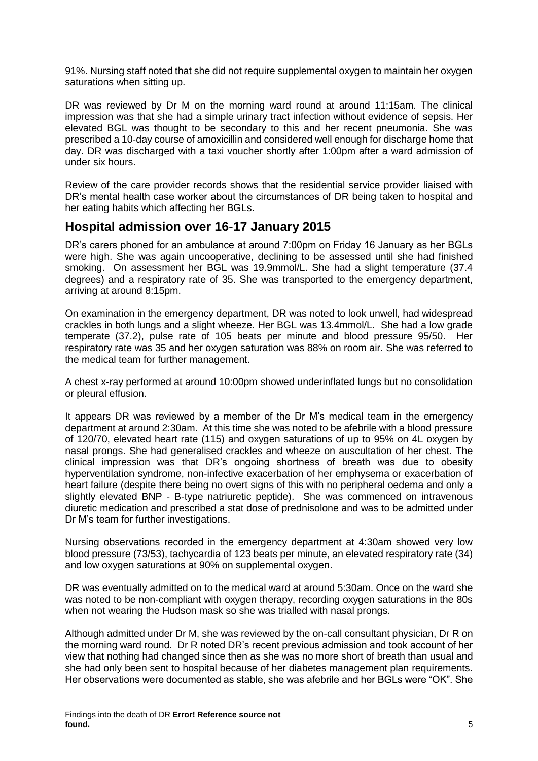91%. Nursing staff noted that she did not require supplemental oxygen to maintain her oxygen saturations when sitting up.

DR was reviewed by Dr M on the morning ward round at around 11:15am. The clinical impression was that she had a simple urinary tract infection without evidence of sepsis. Her elevated BGL was thought to be secondary to this and her recent pneumonia. She was prescribed a 10-day course of amoxicillin and considered well enough for discharge home that day. DR was discharged with a taxi voucher shortly after 1:00pm after a ward admission of under six hours.

Review of the care provider records shows that the residential service provider liaised with DR's mental health case worker about the circumstances of DR being taken to hospital and her eating habits which affecting her BGLs.

### <span id="page-6-0"></span>**Hospital admission over 16-17 January 2015**

DR's carers phoned for an ambulance at around 7:00pm on Friday 16 January as her BGLs were high. She was again uncooperative, declining to be assessed until she had finished smoking. On assessment her BGL was 19.9mmol/L. She had a slight temperature (37.4 degrees) and a respiratory rate of 35. She was transported to the emergency department, arriving at around 8:15pm.

On examination in the emergency department, DR was noted to look unwell, had widespread crackles in both lungs and a slight wheeze. Her BGL was 13.4mmol/L. She had a low grade temperate (37.2), pulse rate of 105 beats per minute and blood pressure 95/50. Her respiratory rate was 35 and her oxygen saturation was 88% on room air. She was referred to the medical team for further management.

A chest x-ray performed at around 10:00pm showed underinflated lungs but no consolidation or pleural effusion.

It appears DR was reviewed by a member of the Dr M's medical team in the emergency department at around 2:30am. At this time she was noted to be afebrile with a blood pressure of 120/70, elevated heart rate (115) and oxygen saturations of up to 95% on 4L oxygen by nasal prongs. She had generalised crackles and wheeze on auscultation of her chest. The clinical impression was that DR's ongoing shortness of breath was due to obesity hyperventilation syndrome, non-infective exacerbation of her emphysema or exacerbation of heart failure (despite there being no overt signs of this with no peripheral oedema and only a slightly elevated BNP - B-type natriuretic peptide). She was commenced on intravenous diuretic medication and prescribed a stat dose of prednisolone and was to be admitted under Dr M's team for further investigations.

Nursing observations recorded in the emergency department at 4:30am showed very low blood pressure (73/53), tachycardia of 123 beats per minute, an elevated respiratory rate (34) and low oxygen saturations at 90% on supplemental oxygen.

DR was eventually admitted on to the medical ward at around 5:30am. Once on the ward she was noted to be non-compliant with oxygen therapy, recording oxygen saturations in the 80s when not wearing the Hudson mask so she was trialled with nasal prongs.

Although admitted under Dr M, she was reviewed by the on-call consultant physician, Dr R on the morning ward round. Dr R noted DR's recent previous admission and took account of her view that nothing had changed since then as she was no more short of breath than usual and she had only been sent to hospital because of her diabetes management plan requirements. Her observations were documented as stable, she was afebrile and her BGLs were "OK". She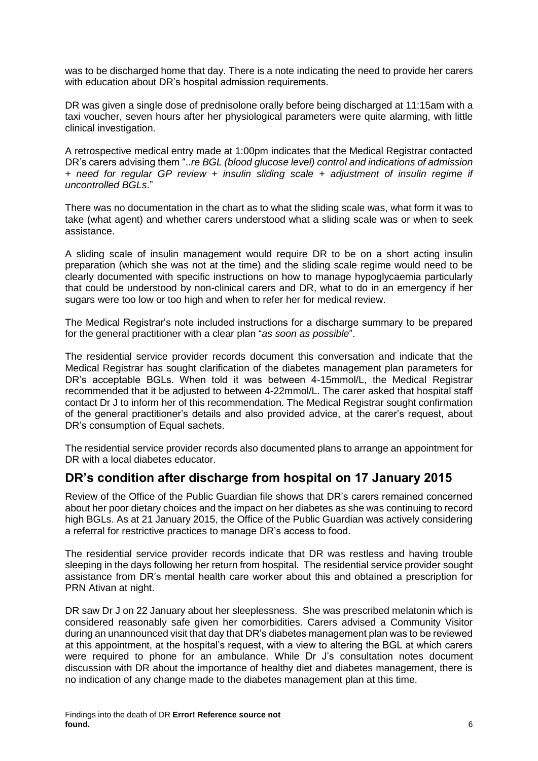was to be discharged home that day. There is a note indicating the need to provide her carers with education about DR's hospital admission requirements.

DR was given a single dose of prednisolone orally before being discharged at 11:15am with a taxi voucher, seven hours after her physiological parameters were quite alarming, with little clinical investigation.

A retrospective medical entry made at 1:00pm indicates that the Medical Registrar contacted DR's carers advising them "..*re BGL (blood glucose level) control and indications of admission + need for regular GP review + insulin sliding scale + adjustment of insulin regime if uncontrolled BGLs*."

There was no documentation in the chart as to what the sliding scale was, what form it was to take (what agent) and whether carers understood what a sliding scale was or when to seek assistance.

A sliding scale of insulin management would require DR to be on a short acting insulin preparation (which she was not at the time) and the sliding scale regime would need to be clearly documented with specific instructions on how to manage hypoglycaemia particularly that could be understood by non-clinical carers and DR, what to do in an emergency if her sugars were too low or too high and when to refer her for medical review.

The Medical Registrar's note included instructions for a discharge summary to be prepared for the general practitioner with a clear plan "*as soon as possible*".

The residential service provider records document this conversation and indicate that the Medical Registrar has sought clarification of the diabetes management plan parameters for DR's acceptable BGLs. When told it was between 4-15mmol/L, the Medical Registrar recommended that it be adjusted to between 4-22mmol/L. The carer asked that hospital staff contact Dr J to inform her of this recommendation. The Medical Registrar sought confirmation of the general practitioner's details and also provided advice, at the carer's request, about DR's consumption of Equal sachets.

The residential service provider records also documented plans to arrange an appointment for DR with a local diabetes educator.

### <span id="page-7-0"></span>**DR's condition after discharge from hospital on 17 January 2015**

Review of the Office of the Public Guardian file shows that DR's carers remained concerned about her poor dietary choices and the impact on her diabetes as she was continuing to record high BGLs. As at 21 January 2015, the Office of the Public Guardian was actively considering a referral for restrictive practices to manage DR's access to food.

The residential service provider records indicate that DR was restless and having trouble sleeping in the days following her return from hospital. The residential service provider sought assistance from DR's mental health care worker about this and obtained a prescription for PRN Ativan at night.

DR saw Dr J on 22 January about her sleeplessness. She was prescribed melatonin which is considered reasonably safe given her comorbidities. Carers advised a Community Visitor during an unannounced visit that day that DR's diabetes management plan was to be reviewed at this appointment, at the hospital's request, with a view to altering the BGL at which carers were required to phone for an ambulance. While Dr J's consultation notes document discussion with DR about the importance of healthy diet and diabetes management, there is no indication of any change made to the diabetes management plan at this time.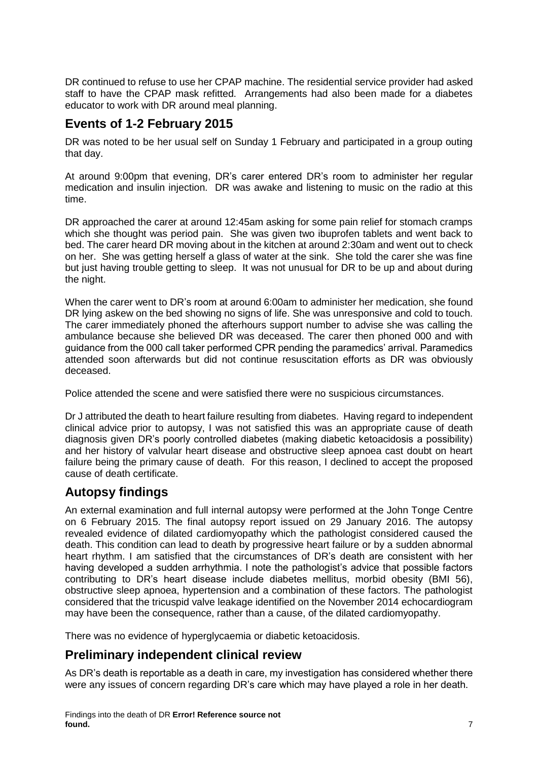DR continued to refuse to use her CPAP machine. The residential service provider had asked staff to have the CPAP mask refitted. Arrangements had also been made for a diabetes educator to work with DR around meal planning.

### <span id="page-8-0"></span>**Events of 1-2 February 2015**

DR was noted to be her usual self on Sunday 1 February and participated in a group outing that day.

At around 9:00pm that evening, DR's carer entered DR's room to administer her regular medication and insulin injection. DR was awake and listening to music on the radio at this time.

DR approached the carer at around 12:45am asking for some pain relief for stomach cramps which she thought was period pain. She was given two ibuprofen tablets and went back to bed. The carer heard DR moving about in the kitchen at around 2:30am and went out to check on her. She was getting herself a glass of water at the sink. She told the carer she was fine but just having trouble getting to sleep. It was not unusual for DR to be up and about during the night.

When the carer went to DR's room at around 6:00am to administer her medication, she found DR lying askew on the bed showing no signs of life. She was unresponsive and cold to touch. The carer immediately phoned the afterhours support number to advise she was calling the ambulance because she believed DR was deceased. The carer then phoned 000 and with guidance from the 000 call taker performed CPR pending the paramedics' arrival. Paramedics attended soon afterwards but did not continue resuscitation efforts as DR was obviously deceased.

Police attended the scene and were satisfied there were no suspicious circumstances.

Dr J attributed the death to heart failure resulting from diabetes. Having regard to independent clinical advice prior to autopsy, I was not satisfied this was an appropriate cause of death diagnosis given DR's poorly controlled diabetes (making diabetic ketoacidosis a possibility) and her history of valvular heart disease and obstructive sleep apnoea cast doubt on heart failure being the primary cause of death. For this reason, I declined to accept the proposed cause of death certificate.

# <span id="page-8-1"></span>**Autopsy findings**

An external examination and full internal autopsy were performed at the John Tonge Centre on 6 February 2015. The final autopsy report issued on 29 January 2016. The autopsy revealed evidence of dilated cardiomyopathy which the pathologist considered caused the death. This condition can lead to death by progressive heart failure or by a sudden abnormal heart rhythm. I am satisfied that the circumstances of DR's death are consistent with her having developed a sudden arrhythmia. I note the pathologist's advice that possible factors contributing to DR's heart disease include diabetes mellitus, morbid obesity (BMI 56), obstructive sleep apnoea, hypertension and a combination of these factors. The pathologist considered that the tricuspid valve leakage identified on the November 2014 echocardiogram may have been the consequence, rather than a cause, of the dilated cardiomyopathy.

There was no evidence of hyperglycaemia or diabetic ketoacidosis.

# <span id="page-8-2"></span>**Preliminary independent clinical review**

As DR's death is reportable as a death in care, my investigation has considered whether there were any issues of concern regarding DR's care which may have played a role in her death.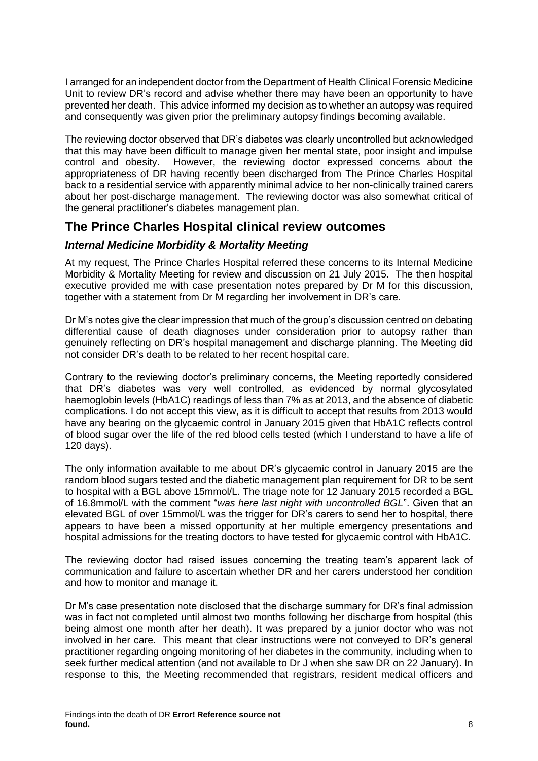I arranged for an independent doctor from the Department of Health Clinical Forensic Medicine Unit to review DR's record and advise whether there may have been an opportunity to have prevented her death. This advice informed my decision as to whether an autopsy was required and consequently was given prior the preliminary autopsy findings becoming available.

The reviewing doctor observed that DR's diabetes was clearly uncontrolled but acknowledged that this may have been difficult to manage given her mental state, poor insight and impulse control and obesity. However, the reviewing doctor expressed concerns about the appropriateness of DR having recently been discharged from The Prince Charles Hospital back to a residential service with apparently minimal advice to her non-clinically trained carers about her post-discharge management. The reviewing doctor was also somewhat critical of the general practitioner's diabetes management plan.

### <span id="page-9-0"></span>**The Prince Charles Hospital clinical review outcomes**

#### <span id="page-9-1"></span>*Internal Medicine Morbidity & Mortality Meeting*

At my request, The Prince Charles Hospital referred these concerns to its Internal Medicine Morbidity & Mortality Meeting for review and discussion on 21 July 2015. The then hospital executive provided me with case presentation notes prepared by Dr M for this discussion, together with a statement from Dr M regarding her involvement in DR's care.

Dr M's notes give the clear impression that much of the group's discussion centred on debating differential cause of death diagnoses under consideration prior to autopsy rather than genuinely reflecting on DR's hospital management and discharge planning. The Meeting did not consider DR's death to be related to her recent hospital care.

Contrary to the reviewing doctor's preliminary concerns, the Meeting reportedly considered that DR's diabetes was very well controlled, as evidenced by normal glycosylated haemoglobin levels (HbA1C) readings of less than 7% as at 2013, and the absence of diabetic complications. I do not accept this view, as it is difficult to accept that results from 2013 would have any bearing on the glycaemic control in January 2015 given that HbA1C reflects control of blood sugar over the life of the red blood cells tested (which I understand to have a life of 120 days).

The only information available to me about DR's glycaemic control in January 2015 are the random blood sugars tested and the diabetic management plan requirement for DR to be sent to hospital with a BGL above 15mmol/L. The triage note for 12 January 2015 recorded a BGL of 16.8mmol/L with the comment "*was here last night with uncontrolled BGL*". Given that an elevated BGL of over 15mmol/L was the trigger for DR's carers to send her to hospital, there appears to have been a missed opportunity at her multiple emergency presentations and hospital admissions for the treating doctors to have tested for glycaemic control with HbA1C.

The reviewing doctor had raised issues concerning the treating team's apparent lack of communication and failure to ascertain whether DR and her carers understood her condition and how to monitor and manage it.

Dr M's case presentation note disclosed that the discharge summary for DR's final admission was in fact not completed until almost two months following her discharge from hospital (this being almost one month after her death). It was prepared by a junior doctor who was not involved in her care. This meant that clear instructions were not conveyed to DR's general practitioner regarding ongoing monitoring of her diabetes in the community, including when to seek further medical attention (and not available to Dr J when she saw DR on 22 January). In response to this, the Meeting recommended that registrars, resident medical officers and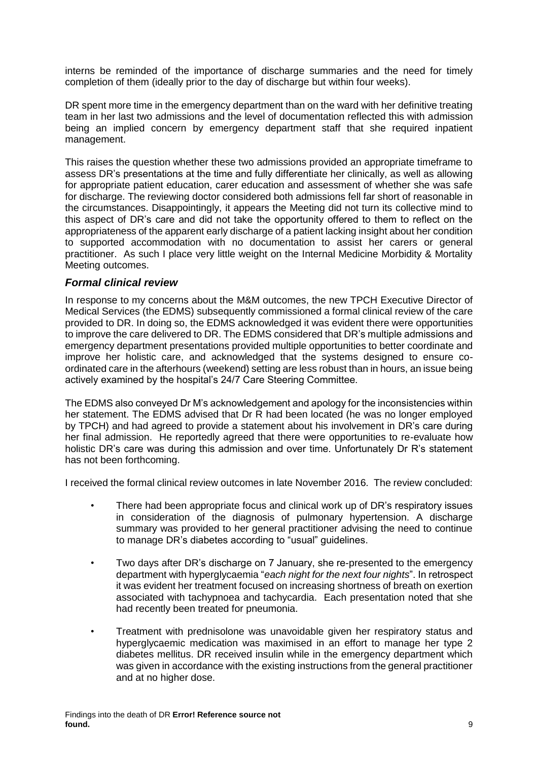interns be reminded of the importance of discharge summaries and the need for timely completion of them (ideally prior to the day of discharge but within four weeks).

DR spent more time in the emergency department than on the ward with her definitive treating team in her last two admissions and the level of documentation reflected this with admission being an implied concern by emergency department staff that she required inpatient management.

This raises the question whether these two admissions provided an appropriate timeframe to assess DR's presentations at the time and fully differentiate her clinically, as well as allowing for appropriate patient education, carer education and assessment of whether she was safe for discharge. The reviewing doctor considered both admissions fell far short of reasonable in the circumstances. Disappointingly, it appears the Meeting did not turn its collective mind to this aspect of DR's care and did not take the opportunity offered to them to reflect on the appropriateness of the apparent early discharge of a patient lacking insight about her condition to supported accommodation with no documentation to assist her carers or general practitioner. As such I place very little weight on the Internal Medicine Morbidity & Mortality Meeting outcomes.

#### <span id="page-10-0"></span>*Formal clinical review*

In response to my concerns about the M&M outcomes, the new TPCH Executive Director of Medical Services (the EDMS) subsequently commissioned a formal clinical review of the care provided to DR. In doing so, the EDMS acknowledged it was evident there were opportunities to improve the care delivered to DR. The EDMS considered that DR's multiple admissions and emergency department presentations provided multiple opportunities to better coordinate and improve her holistic care, and acknowledged that the systems designed to ensure coordinated care in the afterhours (weekend) setting are less robust than in hours, an issue being actively examined by the hospital's 24/7 Care Steering Committee.

The EDMS also conveyed Dr M's acknowledgement and apology for the inconsistencies within her statement. The EDMS advised that Dr R had been located (he was no longer employed by TPCH) and had agreed to provide a statement about his involvement in DR's care during her final admission. He reportedly agreed that there were opportunities to re-evaluate how holistic DR's care was during this admission and over time. Unfortunately Dr R's statement has not been forthcoming.

I received the formal clinical review outcomes in late November 2016. The review concluded:

- There had been appropriate focus and clinical work up of DR's respiratory issues in consideration of the diagnosis of pulmonary hypertension. A discharge summary was provided to her general practitioner advising the need to continue to manage DR's diabetes according to "usual" guidelines.
- Two days after DR's discharge on 7 January, she re-presented to the emergency department with hyperglycaemia "*each night for the next four nights*". In retrospect it was evident her treatment focused on increasing shortness of breath on exertion associated with tachypnoea and tachycardia. Each presentation noted that she had recently been treated for pneumonia.
- Treatment with prednisolone was unavoidable given her respiratory status and hyperglycaemic medication was maximised in an effort to manage her type 2 diabetes mellitus. DR received insulin while in the emergency department which was given in accordance with the existing instructions from the general practitioner and at no higher dose.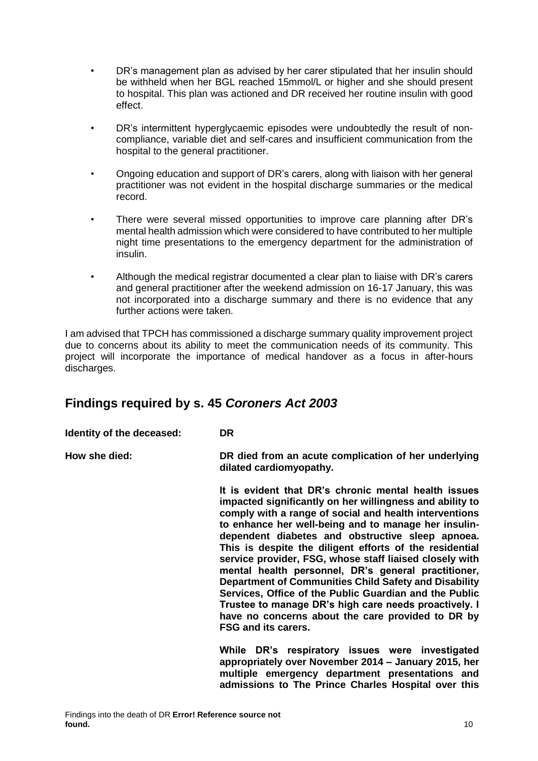- DR's management plan as advised by her carer stipulated that her insulin should be withheld when her BGL reached 15mmol/L or higher and she should present to hospital. This plan was actioned and DR received her routine insulin with good effect.
- DR's intermittent hyperglycaemic episodes were undoubtedly the result of noncompliance, variable diet and self-cares and insufficient communication from the hospital to the general practitioner.
- Ongoing education and support of DR's carers, along with liaison with her general practitioner was not evident in the hospital discharge summaries or the medical record.
- There were several missed opportunities to improve care planning after DR's mental health admission which were considered to have contributed to her multiple night time presentations to the emergency department for the administration of insulin.
- Although the medical registrar documented a clear plan to liaise with DR's carers and general practitioner after the weekend admission on 16-17 January, this was not incorporated into a discharge summary and there is no evidence that any further actions were taken.

I am advised that TPCH has commissioned a discharge summary quality improvement project due to concerns about its ability to meet the communication needs of its community. This project will incorporate the importance of medical handover as a focus in after-hours discharges.

# <span id="page-11-0"></span>**Findings required by s. 45** *Coroners Act 2003*

**Identity of the deceased: DR**

**How she died: DR died from an acute complication of her underlying dilated cardiomyopathy.** 

> **It is evident that DR's chronic mental health issues impacted significantly on her willingness and ability to comply with a range of social and health interventions to enhance her well-being and to manage her insulindependent diabetes and obstructive sleep apnoea. This is despite the diligent efforts of the residential service provider, FSG, whose staff liaised closely with mental health personnel, DR's general practitioner, Department of Communities Child Safety and Disability Services, Office of the Public Guardian and the Public Trustee to manage DR's high care needs proactively. I have no concerns about the care provided to DR by FSG and its carers.**

> **While DR's respiratory issues were investigated appropriately over November 2014 – January 2015, her multiple emergency department presentations and admissions to The Prince Charles Hospital over this**